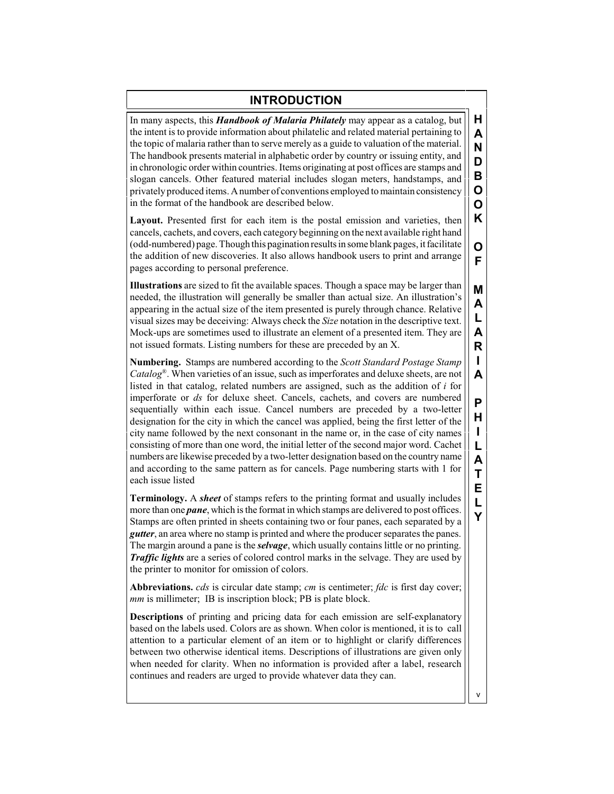## **INTRODUCTION**

In many aspects, this *Handbook of Malaria Philately* may appear as a catalog, but the intent is to provide information about philatelic and related material pertaining to the topic of malaria rather than to serve merely as a guide to valuation of the material. The handbook presents material in alphabetic order by country or issuing entity, and in chronologic order within countries. Items originating at post offices are stamps and slogan cancels. Other featured material includes slogan meters, handstamps, and privately produced items. A number of conventions employed to maintain consistency in the format of the handbook are described below.

**Layout.** Presented first for each item is the postal emission and varieties, then cancels, cachets, and covers, each category beginning on the next available right hand (odd-numbered) page. Though this pagination results in some blank pages, it facilitate the addition of new discoveries. It also allows handbook users to print and arrange pages according to personal preference.

**Illustrations** are sized to fit the available spaces. Though a space may be larger than needed, the illustration will generally be smaller than actual size. An illustration's appearing in the actual size of the item presented is purely through chance. Relative visual sizes may be deceiving: Always check the *Size* notation in the descriptive text. Mock-ups are sometimes used to illustrate an element of a presented item. They are not issued formats. Listing numbers for these are preceded by an X.

**Numbering.** Stamps are numbered according to the *Scott Standard Postage Stamp Catalog* ® . When varieties of an issue, such as imperforates and deluxe sheets, are not listed in that catalog, related numbers are assigned, such as the addition of *i* for imperforate or *ds* for deluxe sheet. Cancels, cachets, and covers are numbered sequentially within each issue. Cancel numbers are preceded by a two-letter designation for the city in which the cancel was applied, being the first letter of the city name followed by the next consonant in the name or, in the case of city names consisting of more than one word, the initial letter of the second major word. Cachet numbers are likewise preceded by a two-letter designation based on the country name and according to the same pattern as for cancels. Page numbering starts with 1 for each issue listed

**Terminology.** A *sheet* of stamps refers to the printing format and usually includes more than one *pane*, which is the format in which stamps are delivered to post offices. Stamps are often printed in sheets containing two or four panes, each separated by a *gutter*, an area where no stamp is printed and where the producer separates the panes. The margin around a pane is the *selvage*, which usually contains little or no printing. *Traffic lights* are a series of colored control marks in the selvage. They are used by the printer to monitor for omission of colors.

**Abbreviations.** *cds* is circular date stamp; *cm* is centimeter; *fdc* is first day cover; *mm* is millimeter; IB is inscription block; PB is plate block.

**Descriptions** of printing and pricing data for each emission are self-explanatory based on the labels used. Colors are as shown. When color is mentioned, it is to call attention to a particular element of an item or to highlight or clarify differences between two otherwise identical items. Descriptions of illustrations are given only when needed for clarity. When no information is provided after a label, research continues and readers are urged to provide whatever data they can.

**H A N D B O O K**

**O F**

**M A L A R I A**

**P H I L A T E L Y**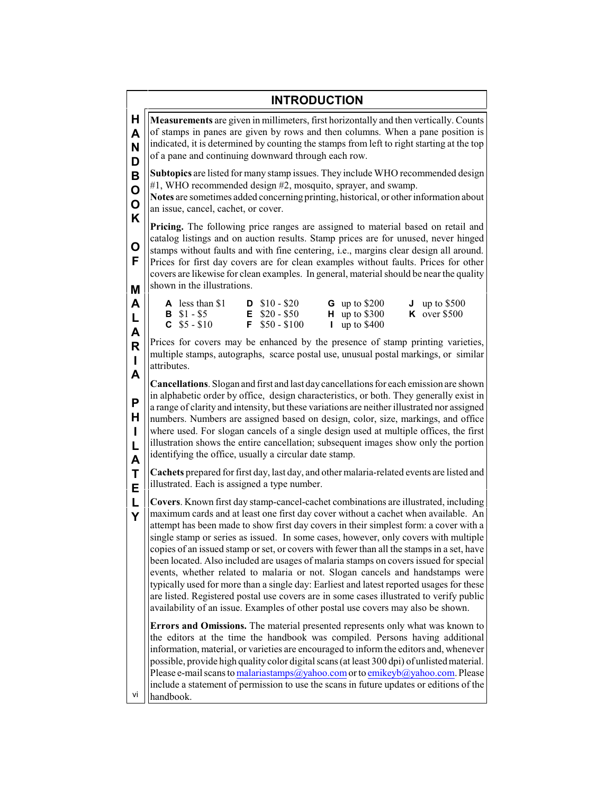## **INTRODUCTION**

**Measurements** are given in millimeters, first horizontally and then vertically. Counts of stamps in panes are given by rows and then columns. When a pane position is indicated, it is determined by counting the stamps from left to right starting at the top of a pane and continuing downward through each row.

**Subtopics** are listed for many stamp issues. They include WHO recommended design #1, WHO recommended design #2, mosquito, sprayer, and swamp.

**Notes** are sometimes added concerning printing, historical, or other information about an issue, cancel, cachet, or cover.

**Pricing.** The following price ranges are assigned to material based on retail and catalog listings and on auction results. Stamp prices are for unused, never hinged stamps without faults and with fine centering, i.e., margins clear design all around. Prices for first day covers are for clean examples without faults. Prices for other covers are likewise for clean examples. In general, material should be near the quality shown in the illustrations.

| <b>A</b> less than \$1 | $D$ \$10 - \$20          | <b>G</b> up to $$200$ | <b>J</b> up to $$500$ |
|------------------------|--------------------------|-----------------------|-----------------------|
| <b>B</b> $$1 - $5$     | $\mathsf{E}$ \$20 - \$50 | $H$ up to \$300       | <b>K</b> over \$500   |
| $C$ \$5 - \$10         | $F$ \$50 - \$100         | I up to $$400$        |                       |

Prices for covers may be enhanced by the presence of stamp printing varieties, multiple stamps, autographs, scarce postal use, unusual postal markings, or similar attributes.

**Cancellations**. Slogan and first and last day cancellations for each emission are shown in alphabetic order by office, design characteristics, or both. They generally exist in a range of clarity and intensity, but these variations are neither illustrated nor assigned numbers. Numbers are assigned based on design, color, size, markings, and office where used. For slogan cancels of a single design used at multiple offices, the first illustration shows the entire cancellation; subsequent images show only the portion identifying the office, usually a circular date stamp.

**Cachets** prepared for first day, last day, and other malaria-related events are listed and illustrated. Each is assigned a type number.

**Covers**. Known first day stamp-cancel-cachet combinations are illustrated, including maximum cards and at least one first day cover without a cachet when available. An attempt has been made to show first day covers in their simplest form: a cover with a single stamp or series as issued. In some cases, however, only covers with multiple copies of an issued stamp or set, or covers with fewer than all the stamps in a set, have been located. Also included are usages of malaria stamps on covers issued for special events, whether related to malaria or not. Slogan cancels and handstamps were typically used for more than a single day: Earliest and latest reported usages for these are listed. Registered postal use covers are in some cases illustrated to verify public availability of an issue. Examples of other postal use covers may also be shown.

**Errors and Omissions.** The material presented represents only what was known to the editors at the time the handbook was compiled. Persons having additional information, material, or varieties are encouraged to informthe editors and, whenever possible, provide high quality color digital scans(at least 300 dpi) of unlistedmaterial. Please e-mail scans to [malariastamps@yahoo.com](mailto:malariastamps@yahoo.com) or to [emikeyb@yahoo.com](mailto:emikeyb@yahoo.com). Please include a statement of permission to use the scans in future updates or editions of the handbook.